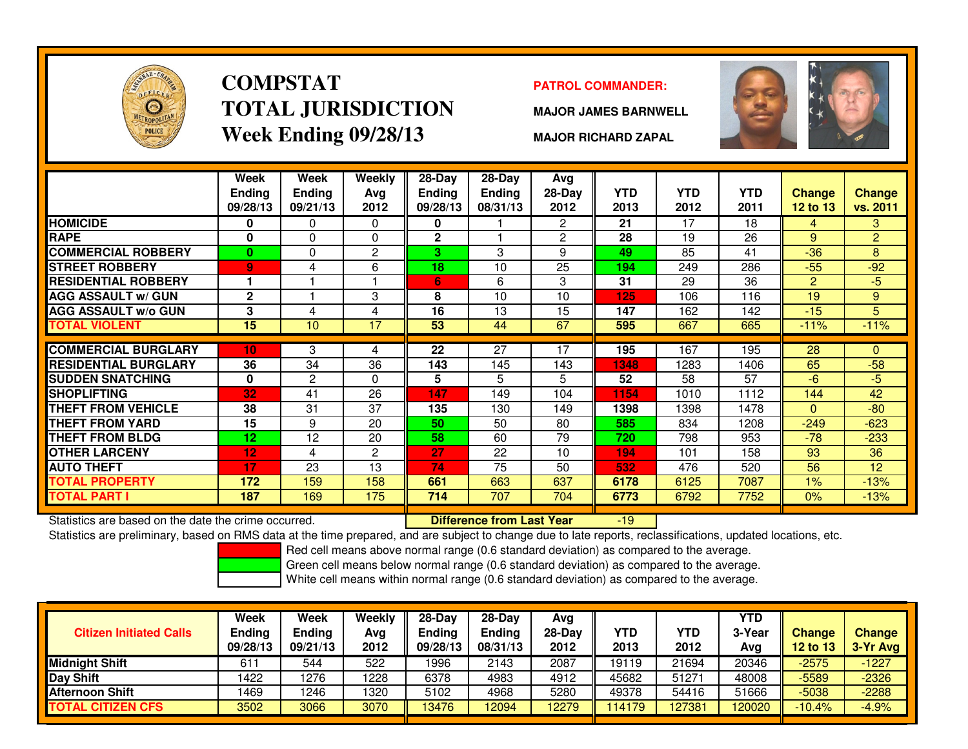

# **COMPSTATTOTAL JURISDICTIONWeek Ending 09/28/13**

### **PATROL COMMANDER:**

**MAJOR JAMES BARNWELL**



**MAJOR RICHARD ZAPAL**

|                             | <b>Week</b><br><b>Ending</b><br>09/28/13 | Week<br><b>Ending</b><br>09/21/13 | <b>Weekly</b><br>Ava<br>2012 | $28-Day$<br>Ending<br>09/28/13 | $28$ -Day<br><b>Ending</b><br>08/31/13 | Ava<br>28-Day<br>2012 | YTD.<br>2013 | <b>YTD</b><br>2012 | <b>YTD</b><br>2011 | <b>Change</b><br>12 to 13 | <b>Change</b><br>vs. 2011 |
|-----------------------------|------------------------------------------|-----------------------------------|------------------------------|--------------------------------|----------------------------------------|-----------------------|--------------|--------------------|--------------------|---------------------------|---------------------------|
| <b>HOMICIDE</b>             | 0                                        | 0                                 | $\mathbf 0$                  | 0                              |                                        | $\overline{2}$        | 21           | 17                 | 18                 | 4                         | 3                         |
| <b>RAPE</b>                 | $\bf{0}$                                 | 0                                 | $\mathbf 0$                  | $\mathbf 2$                    |                                        | $\overline{2}$        | 28           | 19                 | 26                 | 9                         | $\overline{2}$            |
| <b>COMMERCIAL ROBBERY</b>   | $\bf{0}$                                 | 0                                 | $\overline{2}$               | 3                              | 3                                      | 9                     | 49           | 85                 | 41                 | $-36$                     | 8                         |
| <b>STREET ROBBERY</b>       | 9                                        | 4                                 | 6                            | 18                             | 10                                     | 25                    | 194          | 249                | 286                | $-55$                     | $-92$                     |
| <b>RESIDENTIAL ROBBERY</b>  | 1                                        |                                   |                              | 6                              | 6                                      | 3                     | 31           | 29                 | 36                 | $\overline{2}$            | $-5$                      |
| <b>AGG ASSAULT w/ GUN</b>   | $\mathbf{2}$                             |                                   | 3                            | 8                              | 10                                     | 10                    | 125          | 106                | 116                | 19                        | 9                         |
| <b>AGG ASSAULT w/o GUN</b>  | 3                                        | 4                                 | 4                            | 16                             | 13                                     | 15                    | 147          | 162                | 142                | $-15$                     | 5                         |
| TOTAL VIOLENT               | 15                                       | 10                                | 17                           | 53                             | 44                                     | 67                    | 595          | 667                | 665                | $-11%$                    | $-11%$                    |
|                             |                                          |                                   |                              |                                |                                        |                       |              |                    |                    |                           |                           |
| <b>COMMERCIAL BURGLARY</b>  | 10 <sub>1</sub>                          | 3                                 | 4                            | $\overline{22}$                | $\overline{27}$                        | 17                    | 195          | 167                | 195                | 28                        | $\Omega$                  |
| <b>RESIDENTIAL BURGLARY</b> | 36                                       | 34                                | 36                           | 143                            | 145                                    | 143                   | 1348         | 1283               | 1406               | 65                        | $-58$                     |
| <b>SUDDEN SNATCHING</b>     | $\bf{0}$                                 | 2                                 | $\Omega$                     | 5                              | 5                                      | 5                     | 52           | 58                 | 57                 | $-6$                      | $-5$                      |
| <b>SHOPLIFTING</b>          | 32                                       | 41                                | 26                           | 147                            | 149                                    | 104                   | 1154         | 1010               | 1112               | 144                       | 42                        |
| THEFT FROM VEHICLE          | 38                                       | 31                                | 37                           | 135                            | 130                                    | 149                   | 1398         | 1398               | 1478               | $\Omega$                  | $-80$                     |
| THEFT FROM YARD             | 15                                       | 9                                 | 20                           | 50                             | 50                                     | 80                    | 585          | 834                | 1208               | $-249$                    | $-623$                    |
| THEFT FROM BLDG             | 12                                       | 12                                | 20                           | 58                             | 60                                     | 79                    | 720          | 798                | 953                | $-78$                     | $-233$                    |
| <b>OTHER LARCENY</b>        | 12                                       | 4                                 | $\overline{2}$               | 27                             | 22                                     | 10                    | 194          | 101                | 158                | 93                        | 36                        |
| <b>AUTO THEFT</b>           | 17                                       | 23                                | 13                           | 74                             | 75                                     | 50                    | 532          | 476                | 520                | 56                        | 12                        |
| <b>TOTAL PROPERTY</b>       | 172                                      | 159                               | 158                          | 661                            | 663                                    | 637                   | 6178         | 6125               | 7087               | $1\%$                     | $-13%$                    |
| TOTAL PART I                | 187                                      | 169                               | 175                          | 714                            | 707                                    | 704                   | 6773         | 6792               | 7752               | $0\%$                     | $-13%$                    |

Statistics are based on the date the crime occurred. **Difference from Last Year** 

Statistics are based on the date the crime occurred. **[89] Luite Luite Lite of Last Year Mark 1999** The based on RMS data at the time prepared, and are subject to change due to late reports, reclassifications, updated loca

Red cell means above normal range (0.6 standard deviation) as compared to the average.

Green cell means below normal range (0.6 standard deviation) as compared to the average.

| <b>Citizen Initiated Calls</b> | Week<br>Ending<br>09/28/13 | Week<br><b>Ending</b><br>09/21/13 | Weekly<br>Avg<br>2012 | $28-Dav$<br><b>Endina</b><br>09/28/13 | $28-Dav$<br><b>Ending</b><br>08/31/13 | Ava<br>$28-Dav$<br>2012 | YTD<br>2013 | YTD<br>2012 | <b>YTD</b><br>3-Yea<br>Avg | <b>Change</b><br><b>12 to 13</b> | <b>Change</b><br>3-Yr Avg |
|--------------------------------|----------------------------|-----------------------------------|-----------------------|---------------------------------------|---------------------------------------|-------------------------|-------------|-------------|----------------------------|----------------------------------|---------------------------|
| <b>Midnight Shift</b>          | $61 -$                     | 544                               | 522                   | 1996                                  | 2143                                  | 2087                    | 19119       | 21694       | 20346                      | $-2575$                          | $-1227$                   |
| <b>Day Shift</b>               | 1422                       | 1276                              | 1228                  | 6378                                  | 4983                                  | 4912                    | 45682       | 51271       | 48008                      | -5589                            | $-2326$                   |
| <b>Afternoon Shift</b>         | 1469                       | 1246                              | 1320                  | 5102                                  | 4968                                  | 5280                    | 49378       | 54416       | 51666                      | $-5038$                          | $-2288$                   |
| <b>TOTAL CITIZEN CFS</b>       | 3502                       | 3066                              | 3070                  | 13476                                 | 12094                                 | 12279                   | 114179      | 127381      | 20020                      | $-10.4%$                         | $-4.9%$                   |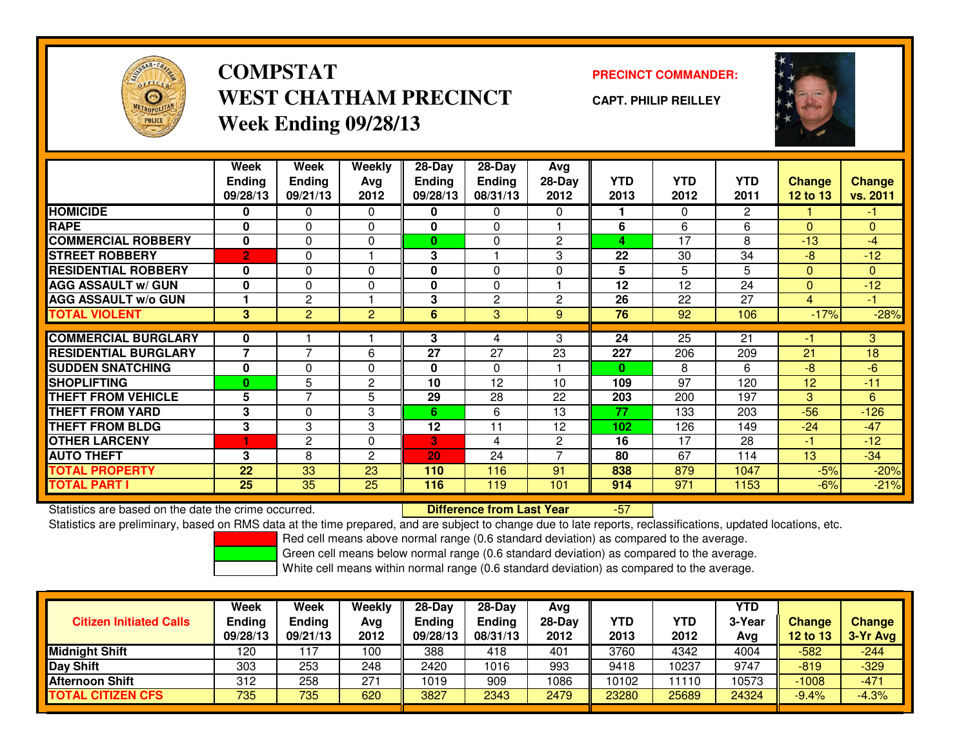

### **COMPSTATPRECINCT COMMANDER:**<br>
PRECINCT COMMANDER: **WEST CHATHAM PRECINCTWeek Ending 09/28/13**

**CAPT. PHILIP REILLEY**



|                             | Week<br><b>Ending</b><br>09/28/13 | Week<br><b>Ending</b><br>09/21/13 | Weekly<br>Avg<br>2012 | $28$ -Day<br>Ending<br>09/28/13 | 28-Day<br><b>Ending</b><br>08/31/13 | Avg<br>$28-Day$<br>2012 | <b>YTD</b><br>2013 | <b>YTD</b><br>2012 | <b>YTD</b><br>2011 | <b>Change</b><br><b>12 to 13</b> | <b>Change</b><br>vs. 2011 |
|-----------------------------|-----------------------------------|-----------------------------------|-----------------------|---------------------------------|-------------------------------------|-------------------------|--------------------|--------------------|--------------------|----------------------------------|---------------------------|
| <b>HOMICIDE</b>             | 0                                 | 0                                 | $\Omega$              | 0                               | 0                                   | $\Omega$                |                    | $\Omega$           | $\overline{2}$     |                                  | $-1$                      |
| <b>RAPE</b>                 | $\bf{0}$                          | $\Omega$                          | $\Omega$              | 0                               | $\Omega$                            |                         | 6                  | 6                  | 6                  | $\Omega$                         | $\Omega$                  |
| <b>COMMERCIAL ROBBERY</b>   | $\mathbf{0}$                      | 0                                 | $\Omega$              | $\bf{0}$                        | 0                                   | 2                       | 4                  | 17                 | 8                  | $-13$                            | $-4$                      |
| <b>STREET ROBBERY</b>       | $\overline{2}$                    | 0                                 |                       | 3                               |                                     | 3                       | 22                 | 30                 | 34                 | -8                               | $-12$                     |
| <b>RESIDENTIAL ROBBERY</b>  | 0                                 | 0                                 | $\Omega$              | 0                               | 0                                   | 0                       | 5                  | 5                  | 5                  | $\Omega$                         | $\Omega$                  |
| <b>AGG ASSAULT w/ GUN</b>   | $\bf{0}$                          | $\Omega$                          | 0                     | $\mathbf{0}$                    | $\Omega$                            |                         | 12                 | 12                 | 24                 | $\Omega$                         | $-12$                     |
| <b>AGG ASSAULT w/o GUN</b>  |                                   | $\overline{2}$                    |                       | 3                               | $\overline{2}$                      | $\overline{2}$          | 26                 | 22                 | 27                 | $\overline{4}$                   | $-1$                      |
| <b>TOTAL VIOLENT</b>        | 3                                 | $\overline{2}$                    | $\overline{2}$        | 6                               | 3                                   | 9                       | 76                 | 92                 | 106                | $-17%$                           | $-28%$                    |
|                             |                                   |                                   |                       |                                 |                                     |                         |                    |                    |                    |                                  |                           |
| <b>COMMERCIAL BURGLARY</b>  | 0                                 |                                   |                       | 3                               | 4                                   | 3                       | 24                 | 25                 | 21                 | -1                               | 3                         |
| <b>RESIDENTIAL BURGLARY</b> | 7                                 | $\overline{7}$                    | 6                     | 27                              | 27                                  | 23                      | 227                | 206                | 209                | 21                               | 18                        |
| <b>SUDDEN SNATCHING</b>     | $\bf{0}$                          | 0                                 | $\Omega$              | 0                               | $\Omega$                            |                         | $\bf{0}$           | 8                  | 6                  | $-8$                             | $-6$                      |
| <b>SHOPLIFTING</b>          | 0                                 | 5                                 | 2                     | 10                              | 12                                  | 10                      | 109                | 97                 | 120                | 12                               | $-11$                     |
| <b>THEFT FROM VEHICLE</b>   | 5                                 | 7                                 | 5                     | 29                              | 28                                  | 22                      | 203                | 200                | 197                | 3                                | 6                         |
| <b>THEFT FROM YARD</b>      | 3                                 | 0                                 | 3                     | 6                               | 6                                   | 13                      | 77                 | 133                | 203                | $-56$                            | $-126$                    |
| <b>THEFT FROM BLDG</b>      | 3                                 | 3                                 | 3                     | 12                              | 11                                  | 12                      | 102                | 126                | 149                | $-24$                            | $-47$                     |
| <b>OTHER LARCENY</b>        | ٠                                 | $\overline{c}$                    | $\Omega$              | 3                               | 4                                   | $\overline{2}$          | 16                 | 17                 | 28                 | $-1$                             | $-12$                     |
| <b>AUTO THEFT</b>           | 3                                 | 8                                 | $\overline{c}$        | 20                              | 24                                  | $\overline{ }$          | 80                 | 67                 | 114                | 13                               | $-34$                     |
| <b>TOTAL PROPERTY</b>       | 22                                | 33                                | 23                    | 110                             | 116                                 | 91                      | 838                | 879                | 1047               | $-5%$                            | $-20%$                    |
| <b>TOTAL PART I</b>         | 25                                | 35                                | 25                    | 116                             | 119                                 | 101                     | 914                | 971                | 1153               | $-6%$                            | $-21%$                    |

Statistics are based on the date the crime occurred. **Difference from Last Year** 

-57

Statistics are preliminary, based on RMS data at the time prepared, and are subject to change due to late reports, reclassifications, updated locations, etc.

Red cell means above normal range (0.6 standard deviation) as compared to the average.

Green cell means below normal range (0.6 standard deviation) as compared to the average.

| <b>Citizen Initiated Calls</b> | Week<br><b>Ending</b><br>09/28/13 | Week<br>Ending<br>09/21/13 | <b>Weekly</b><br>Avg<br>2012 | $28-Day$<br><b>Ending</b><br>09/28/13 | $28$ -Dav<br><b>Endina</b><br>08/31/13 | Avg<br>28-Day<br>2012 | YTD<br>2013 | YTD<br>2012 | <b>YTD</b><br>3-Year<br>Avg | Change<br>12 to 13 | <b>Change</b><br>3-Yr Avg |
|--------------------------------|-----------------------------------|----------------------------|------------------------------|---------------------------------------|----------------------------------------|-----------------------|-------------|-------------|-----------------------------|--------------------|---------------------------|
| <b>Midnight Shift</b>          | 120                               | 117                        | 100                          | 388                                   | 418                                    | 401                   | 3760        | 4342        | 4004                        | $-582$             | $-244$                    |
| <b>IDay Shift</b>              | 303                               | 253                        | 248                          | 2420                                  | 1016                                   | 993                   | 9418        | 10237       | 9747                        | $-819$             | $-329$                    |
| Afternoon Shift                | 312                               | 258                        | 271                          | 1019                                  | 909                                    | 1086                  | 10102       | 11110       | 10573                       | $-1008$            | $-471$                    |
| <b>TOTAL CITIZEN CFS</b>       | 735                               | 735                        | 620                          | 3827                                  | 2343                                   | 2479                  | 23280       | 25689       | 24324                       | $-9.4%$            | $-4.3%$                   |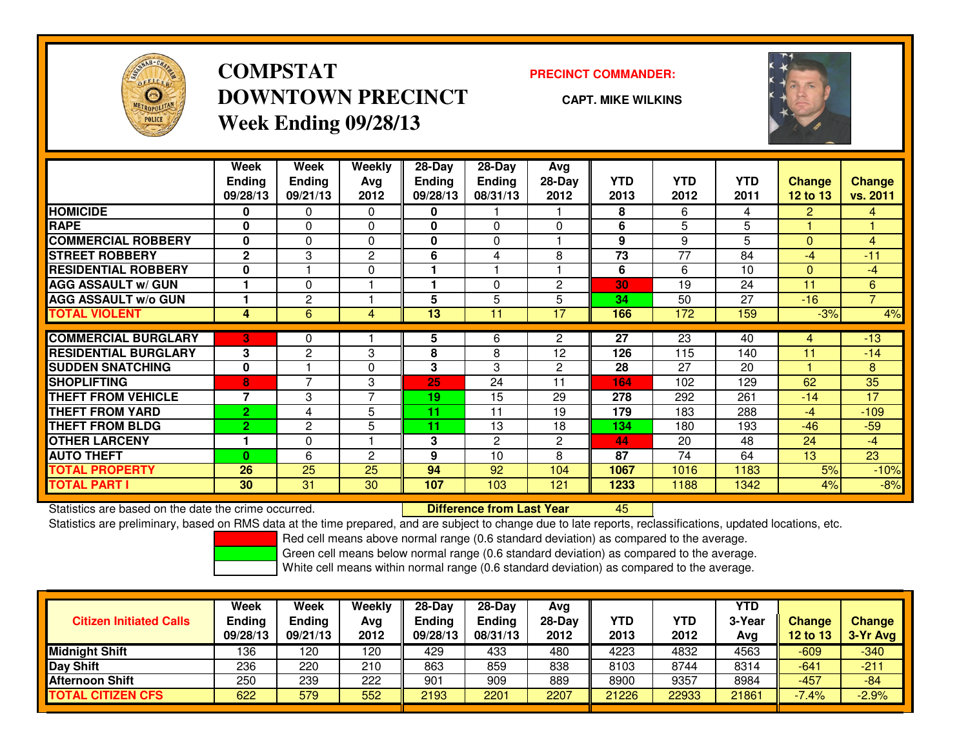

## **COMPSTATDOWNTOWN PRECINCTWeek Ending 09/28/13**

### **PRECINCT COMMANDER:**

**CAPT. MIKE WILKINS**

<sup>45</sup>



|                             | <b>Week</b>              | Week           | Weekly         | $28$ -Day     | $28$ -Day      | Avg            |            |            |            |                |                |
|-----------------------------|--------------------------|----------------|----------------|---------------|----------------|----------------|------------|------------|------------|----------------|----------------|
|                             | <b>Ending</b>            | <b>Ending</b>  | Avg            | <b>Ending</b> | <b>Ending</b>  | 28-Day         | <b>YTD</b> | <b>YTD</b> | <b>YTD</b> | <b>Change</b>  | <b>Change</b>  |
|                             | 09/28/13                 | 09/21/13       | 2012           | 09/28/13      | 08/31/13       | 2012           | 2013       | 2012       | 2011       | 12 to 13       | vs. 2011       |
| <b>HOMICIDE</b>             | 0                        | 0              | $\Omega$       | 0             |                |                | 8          | 6          | 4          | $\overline{2}$ | $\overline{4}$ |
| <b>RAPE</b>                 | 0                        | 0              | $\mathbf 0$    | 0             | $\Omega$       | $\Omega$       | 6          | 5          | 5          |                |                |
| <b>COMMERCIAL ROBBERY</b>   | $\bf{0}$                 | 0              | $\Omega$       | $\bf{0}$      | $\Omega$       |                | 9          | 9          | 5          | $\Omega$       | 4              |
| <b>STREET ROBBERY</b>       | $\mathbf{2}$             | 3              | $\overline{c}$ | 6             | 4              | 8              | 73         | 77         | 84         | -4             | $-11$          |
| <b>RESIDENTIAL ROBBERY</b>  | 0                        |                | $\Omega$       |               |                |                | 6          | 6          | 10         | $\mathbf{0}$   | $-4$           |
| <b>AGG ASSAULT w/ GUN</b>   |                          | 0              |                |               | $\Omega$       | $\overline{2}$ | 30         | 19         | 24         | 11             | 6              |
| <b>AGG ASSAULT w/o GUN</b>  |                          | 2              |                | 5             | 5              | 5              | 34         | 50         | 27         | $-16$          | $\overline{ }$ |
| <b>TOTAL VIOLENT</b>        | 4                        | 6              | 4              | 13            | 11             | 17             | 166        | 172        | 159        | $-3%$          | 4%             |
| <b>COMMERCIAL BURGLARY</b>  | 3                        | 0              |                | 5             | 6              | $\overline{2}$ | 27         | 23         | 40         | 4              | $-13$          |
| <b>RESIDENTIAL BURGLARY</b> | 3                        | $\overline{2}$ | 3              | 8             | 8              | 12             | 126        | 115        | 140        | 11             | $-14$          |
|                             |                          |                |                |               |                |                |            |            |            |                |                |
| <b>SUDDEN SNATCHING</b>     | $\mathbf{0}$             | 7              | $\Omega$       | 3             | 3              | $\overline{c}$ | 28         | 27         | 20         |                | 8              |
| <b>SHOPLIFTING</b>          | 8                        |                | 3              | 25            | 24             | 11             | 164        | 102        | 129        | 62             | 35             |
| <b>THEFT FROM VEHICLE</b>   | $\overline{\phantom{a}}$ | 3              | 7              | 19            | 15             | 29             | 278        | 292        | 261        | $-14$          | 17             |
| <b>THEFT FROM YARD</b>      | $\overline{2}$           | 4              | 5              | 11            | 11             | 19             | 179        | 183        | 288        | -4             | $-109$         |
| <b>THEFT FROM BLDG</b>      | $\overline{2}$           | 2              | 5              | 11            | 13             | 18             | 134        | 180        | 193        | $-46$          | $-59$          |
| <b>OTHER LARCENY</b>        |                          | 0              |                | 3             | $\overline{2}$ | $\overline{c}$ | 44         | 20         | 48         | 24             | $-4$           |
| <b>AUTO THEFT</b>           | $\bf{0}$                 | 6              | $\overline{c}$ | 9             | 10             | 8              | 87         | 74         | 64         | 13             | 23             |
| <b>TOTAL PROPERTY</b>       | 26                       | 25             | 25             | 94            | 92             | 104            | 1067       | 1016       | 1183       | 5%             | $-10%$         |
| <b>TOTAL PART I</b>         | 30                       | 31             | 30             | 107           | 103            | 121            | 1233       | 1188       | 1342       | 4%             | $-8%$          |

Statistics are based on the date the crime occurred. **Difference from Last Year** 

Statistics are preliminary, based on RMS data at the time prepared, and are subject to change due to late reports, reclassifications, updated locations, etc.

Red cell means above normal range (0.6 standard deviation) as compared to the average.

Green cell means below normal range (0.6 standard deviation) as compared to the average.

| <b>Citizen Initiated Calls</b> | <b>Week</b><br><b>Ending</b><br>09/28/13 | Week<br>Ending<br>09/21/13 | Weekly<br>Avg<br>2012 | $28-Day$<br><b>Ending</b><br>09/28/13 | $28-Dav$<br><b>Ending</b><br>08/31/13 | Avg<br>$28-Dav$<br>2012 | <b>YTD</b><br>2013 | <b>YTD</b><br>2012 | <b>YTD</b><br>3-Year<br>Avg | Change<br>12 to 13 | <b>Change</b><br>$3-Yr$ Avg |
|--------------------------------|------------------------------------------|----------------------------|-----------------------|---------------------------------------|---------------------------------------|-------------------------|--------------------|--------------------|-----------------------------|--------------------|-----------------------------|
| <b>Midnight Shift</b>          | 136                                      | 120                        | 120                   | 429                                   | 433                                   | 480                     | 4223               | 4832               | 4563                        | $-609$             | $-340$                      |
| Day Shift                      | 236                                      | 220                        | 210                   | 863                                   | 859                                   | 838                     | 8103               | 8744               | 8314                        | $-641$             | $-211$                      |
| <b>Afternoon Shift</b>         | 250                                      | 239                        | 222                   | 901                                   | 909                                   | 889                     | 8900               | 9357               | 8984                        | $-457$             | $-84$                       |
| <b>TOTAL CITIZEN CFS</b>       | 622                                      | 579                        | 552                   | 2193                                  | 2201                                  | 2207                    | 21226              | 22933              | 21861                       | $-7.4%$            | $-2.9%$                     |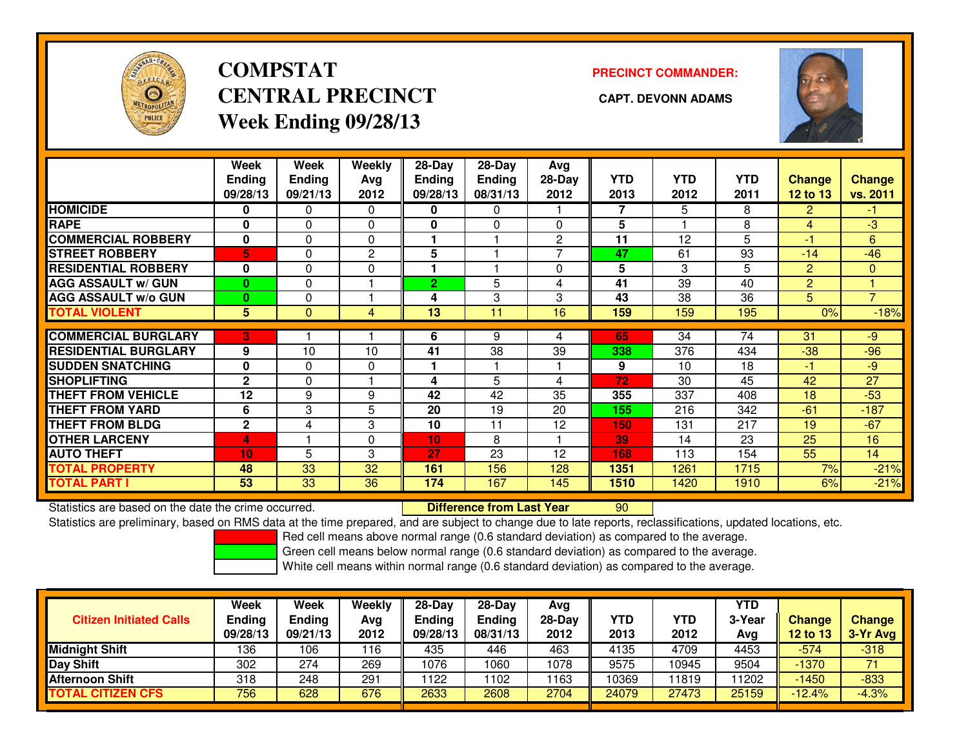

# **COMPSTATCENTRAL PRECINCT CAPT. DEVONN ADAMSWeek Ending 09/28/13**

**PRECINCT COMMANDER:**



|                             | Week                      | Week                      | <b>Weekly</b> | 28-Day             | 28-Day                    | Avg              |                    |                    |                    |                                  |                           |
|-----------------------------|---------------------------|---------------------------|---------------|--------------------|---------------------------|------------------|--------------------|--------------------|--------------------|----------------------------------|---------------------------|
|                             | <b>Ending</b><br>09/28/13 | <b>Ending</b><br>09/21/13 | Avg<br>2012   | Ending<br>09/28/13 | <b>Ending</b><br>08/31/13 | $28-Day$<br>2012 | <b>YTD</b><br>2013 | <b>YTD</b><br>2012 | <b>YTD</b><br>2011 | <b>Change</b><br><b>12 to 13</b> | <b>Change</b><br>vs. 2011 |
| <b>HOMICIDE</b>             | 0                         | 0                         | $\Omega$      | 0                  | 0                         |                  | 7                  | 5                  | 8                  | $\overline{2}$                   | $-1$                      |
| <b>RAPE</b>                 | 0                         | 0                         | $\Omega$      | 0                  | 0                         | 0                | 5                  |                    | 8                  | 4                                | $-3$                      |
| <b>COMMERCIAL ROBBERY</b>   | $\mathbf{0}$              | 0                         | $\Omega$      |                    |                           | $\overline{2}$   | 11                 | 12                 | 5                  | $-1$                             | 6                         |
|                             |                           |                           |               |                    |                           |                  |                    |                    |                    |                                  |                           |
| <b>STREET ROBBERY</b>       | 5                         | 0                         | 2             | 5                  |                           |                  | 47                 | 61                 | 93                 | $-14$                            | $-46$                     |
| <b>RESIDENTIAL ROBBERY</b>  | 0                         | 0                         | 0             |                    |                           | 0                | 5                  | 3                  | 5                  | $\overline{2}$                   | $\mathbf{0}$              |
| <b>AGG ASSAULT w/ GUN</b>   | $\bf{0}$                  | 0                         |               | $\overline{2}$     | 5                         | 4                | 41                 | 39                 | 40                 | $\overline{c}$                   |                           |
| <b>AGG ASSAULT w/o GUN</b>  | $\bf{0}$                  | 0                         |               | 4                  | 3                         | 3                | 43                 | 38                 | 36                 | 5                                | $\overline{7}$            |
| <b>TOTAL VIOLENT</b>        | $5\phantom{.0}$           | $\Omega$                  | 4             | 13                 | 11                        | 16               | 159                | 159                | 195                | 0%                               | $-18%$                    |
| <b>COMMERCIAL BURGLARY</b>  |                           |                           |               |                    |                           |                  |                    | 34                 | 74                 |                                  |                           |
|                             | 3                         |                           |               | 6                  | 9                         | 4                | 65                 |                    |                    | 31                               | -9                        |
| <b>RESIDENTIAL BURGLARY</b> | 9                         | 10                        | 10            | 41                 | 38                        | 39               | 338                | 376                | 434                | $-38$                            | $-96$                     |
| <b>SUDDEN SNATCHING</b>     | $\mathbf 0$               | 0                         | $\Omega$      |                    |                           |                  | 9                  | 10                 | 18                 | -1                               | $-9$                      |
| <b>SHOPLIFTING</b>          | $\mathbf{2}$              | 0                         |               | 4                  | 5                         | 4                | 72                 | 30                 | 45                 | 42                               | 27                        |
| <b>THEFT FROM VEHICLE</b>   | 12                        | 9                         | 9             | 42                 | 42                        | 35               | 355                | 337                | 408                | 18                               | $-53$                     |
| <b>THEFT FROM YARD</b>      | 6                         | 3                         | 5             | 20                 | 19                        | 20               | 155                | 216                | 342                | $-61$                            | $-187$                    |
| <b>THEFT FROM BLDG</b>      | $\mathbf{2}$              | 4                         | 3             | 10                 | 11                        | 12               | 150                | 131                | 217                | 19                               | $-67$                     |
| <b>OTHER LARCENY</b>        | 4                         |                           | $\Omega$      | 10                 | 8                         |                  | 39                 | 14                 | 23                 | 25                               | 16                        |
| <b>AUTO THEFT</b>           | 10                        | 5                         | 3             | 27                 | 23                        | 12               | 168                | 113                | 154                | 55                               | 14                        |
| <b>TOTAL PROPERTY</b>       | 48                        | 33                        | 32            | 161                | 156                       | 128              | 1351               | 1261               | 1715               | 7%                               | $-21%$                    |
| <b>TOTAL PART I</b>         | 53                        | 33                        | 36            | 174                | 167                       | 145              | 1510               | 1420               | 1910               | 6%                               | $-21%$                    |

Statistics are based on the date the crime occurred. **Difference from Last Year** 

Statistics are based on the date the crime occurred. **Difference from Last Year 190 Man**d Statistics are based on the date trime occurred.<br>Statistics are preliminary, based on RMS data at the time prepared, and are subject

Red cell means above normal range (0.6 standard deviation) as compared to the average.

Green cell means below normal range (0.6 standard deviation) as compared to the average.

| <b>Citizen Initiated Calls</b> | Week<br><b>Ending</b><br>09/28/13 | Week<br>Ending<br>09/21/13 | Weekly<br>Avg<br>2012 | $28-Day$<br><b>Ending</b><br>09/28/13 | $28-Dav$<br><b>Ending</b><br>08/31/13 | Avg<br>$28-Day$<br>2012 | <b>YTD</b><br>2013 | <b>YTD</b><br>2012 | <b>YTD</b><br>3-Year<br>Avg | Change<br>12 to 13 | <b>Change</b><br>3-Yr Avg |
|--------------------------------|-----------------------------------|----------------------------|-----------------------|---------------------------------------|---------------------------------------|-------------------------|--------------------|--------------------|-----------------------------|--------------------|---------------------------|
| <b>Midnight Shift</b>          | 136                               | 106                        | 116                   | 435                                   | 446                                   | 463                     | 4135               | 4709               | 4453                        | $-574$             | $-318$                    |
| <b>Day Shift</b>               | 302                               | 274                        | 269                   | 1076                                  | 1060                                  | 1078                    | 9575               | 10945              | 9504                        | $-1370$            | 71                        |
| Afternoon Shift                | 318                               | 248                        | 291                   | 122                                   | 1102                                  | 163                     | 10369              | 11819              | 11202                       | $-1450$            | $-833$                    |
| <b>TOTAL CITIZEN CFS</b>       | 756                               | 628                        | 676                   | 2633                                  | 2608                                  | 2704                    | 24079              | 27473              | 25159                       | $-12.4%$           | $-4.3%$                   |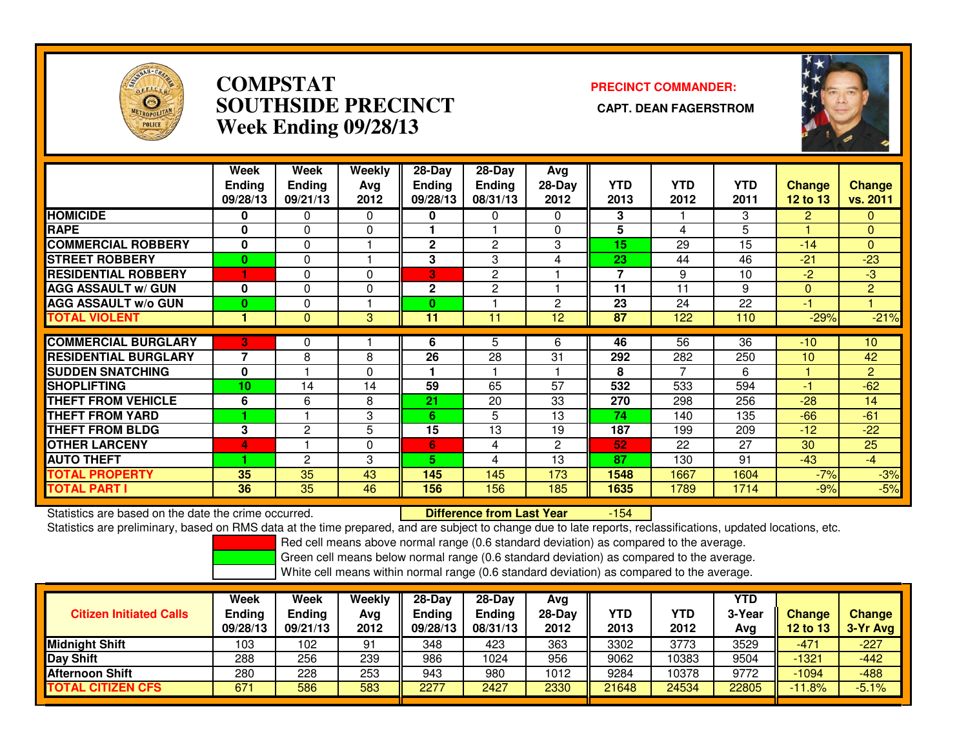

### **COMPSTAT PRECINCT COMMANDER: SOUTHSIDE PRECINCT CAPT. DEAN FAGERSTROMWeek Ending 09/28/13**



|                             | Week<br><b>Ending</b><br>09/28/13 | Week<br><b>Ending</b><br>09/21/13 | Weekly<br>Avg<br>2012 | $28-Day$<br><b>Ending</b><br>09/28/13 | 28-Day<br><b>Ending</b><br>08/31/13 | Avg<br>$28-Day$<br>2012 | <b>YTD</b><br>2013 | <b>YTD</b><br>2012 | <b>YTD</b><br>2011 | <b>Change</b><br><b>12 to 13</b> | Change<br>vs. 2011 |
|-----------------------------|-----------------------------------|-----------------------------------|-----------------------|---------------------------------------|-------------------------------------|-------------------------|--------------------|--------------------|--------------------|----------------------------------|--------------------|
| <b>HOMICIDE</b>             | 0                                 | 0                                 | $\mathbf{0}$          | 0                                     | $\Omega$                            | $\Omega$                | 3                  |                    | З                  | 2                                | 0                  |
| <b>RAPE</b>                 | 0                                 | $\Omega$                          | 0                     |                                       |                                     | $\Omega$                | 5                  | 4                  | 5                  |                                  | $\mathbf{0}$       |
| <b>COMMERCIAL ROBBERY</b>   | 0                                 | $\Omega$                          |                       | $\mathbf{2}$                          | 2                                   | 3                       | 15                 | 29                 | 15                 | $-14$                            | $\mathbf{0}$       |
| <b>STREET ROBBERY</b>       | $\bf{0}$                          | $\Omega$                          |                       | 3                                     | 3                                   | 4                       | 23                 | 44                 | 46                 | $-21$                            | $-23$              |
| <b>RESIDENTIAL ROBBERY</b>  |                                   | $\Omega$                          | $\Omega$              | B                                     | $\overline{c}$                      |                         | $\overline{7}$     | 9                  | 10                 | $-2$                             | $-3$               |
| <b>AGG ASSAULT w/ GUN</b>   | 0                                 | $\Omega$                          | 0                     | $\mathbf{2}$                          | $\overline{c}$                      |                         | 11                 | 11                 | 9                  | $\Omega$                         | $\overline{2}$     |
| <b>AGG ASSAULT w/o GUN</b>  | 0                                 | 0                                 |                       | $\mathbf{0}$                          |                                     | 2                       | 23                 | 24                 | 22                 | -1                               |                    |
| <b>TOTAL VIOLENT</b>        |                                   | $\Omega$                          | 3                     | 11                                    | 11                                  | 12 <sub>2</sub>         | 87                 | 122                | 110                | $-29%$                           | $-21%$             |
|                             |                                   |                                   |                       |                                       |                                     |                         |                    |                    |                    |                                  |                    |
| <b>COMMERCIAL BURGLARY</b>  | 3                                 | 0                                 |                       | 6                                     | 5                                   | 6                       | 46                 | $\overline{56}$    | $\overline{36}$    | $-10$                            | 10                 |
| <b>RESIDENTIAL BURGLARY</b> | 7                                 | 8                                 | 8                     | 26                                    | 28                                  | 31                      | 292                | 282                | 250                | 10                               | 42                 |
| <b>SUDDEN SNATCHING</b>     | 0                                 |                                   | $\mathbf{0}$          |                                       |                                     |                         | 8                  | 7                  | 6                  |                                  | $\overline{2}$     |
| <b>SHOPLIFTING</b>          | 10                                | 14                                | 14                    | 59                                    | 65                                  | 57                      | 532                | 533                | 594                | -1                               | $-62$              |
| <b>THEFT FROM VEHICLE</b>   | 6                                 | 6                                 | 8                     | 21                                    | 20                                  | 33                      | 270                | 298                | 256                | $-28$                            | 14                 |
| <b>THEFT FROM YARD</b>      |                                   |                                   | 3                     | 6                                     | 5                                   | 13                      | 74                 | 140                | 135                | $-66$                            | $-61$              |
| <b>THEFT FROM BLDG</b>      | 3                                 | $\overline{c}$                    | 5                     | 15                                    | 13                                  | 19                      | 187                | 199                | 209                | $-12$                            | $-22$              |
| <b>OTHER LARCENY</b>        | 4                                 |                                   | $\mathbf 0$           | 6                                     | 4                                   | $\overline{c}$          | 52                 | 22                 | 27                 | 30                               | 25                 |
| <b>AUTO THEFT</b>           |                                   | $\overline{2}$                    | 3                     | 5.                                    | 4                                   | 13                      | 87                 | 130                | 91                 | $-43$                            | $-4$               |
| TOTAL PROPERTY              | 35                                | 35                                | 43                    | 145                                   | 145                                 | 173                     | 1548               | 1667               | 1604               | $-7%$                            | $-3%$              |
| <b>TOTAL PART I</b>         | 36                                | 35                                | 46                    | 156                                   | 156                                 | 185                     | 1635               | 1789               | 1714               | $-9%$                            | $-5%$              |

Statistics are based on the date the crime occurred. **Difference from Last Year** 

-154

Statistics are preliminary, based on RMS data at the time prepared, and are subject to change due to late reports, reclassifications, updated locations, etc.

Red cell means above normal range (0.6 standard deviation) as compared to the average.

Green cell means below normal range (0.6 standard deviation) as compared to the average.

| <b>Citizen Initiated Calls</b> | Week<br>Ending<br>09/28/13 | Week<br><b>Ending</b><br>09/21/13 | Weekly<br>Avg<br>2012 | $28-Day$<br><b>Ending</b><br>09/28/13 | 28-Dav<br><b>Ending</b><br>08/31/13 | Avg<br>$28-Day$<br>2012 | YTD<br>2013 | YTD<br>2012 | YTD<br>3-Year<br>Avg | <b>Change</b><br>12 to 13 | <b>Change</b><br>3-Yr Avg |
|--------------------------------|----------------------------|-----------------------------------|-----------------------|---------------------------------------|-------------------------------------|-------------------------|-------------|-------------|----------------------|---------------------------|---------------------------|
| <b>Midnight Shift</b>          | 103                        | 102                               | 91                    | 348                                   | 423                                 | 363                     | 3302        | 3773        | 3529                 | $-471$                    | $-227$                    |
| Day Shift                      | 288                        | 256                               | 239                   | 986                                   | 1024                                | 956                     | 9062        | 10383       | 9504                 | $-1321$                   | $-442$                    |
| Afternoon Shift                | 280                        | 228                               | 253                   | 943                                   | 980                                 | 1012                    | 9284        | 10378       | 9772                 | $-1094$                   | $-488$                    |
| <b>TOTAL CITIZEN CFS</b>       | 671                        | 586                               | 583                   | 2277                                  | 2427                                | 2330                    | 21648       | 24534       | 22805                | $-11.8%$                  | $-5.1%$                   |